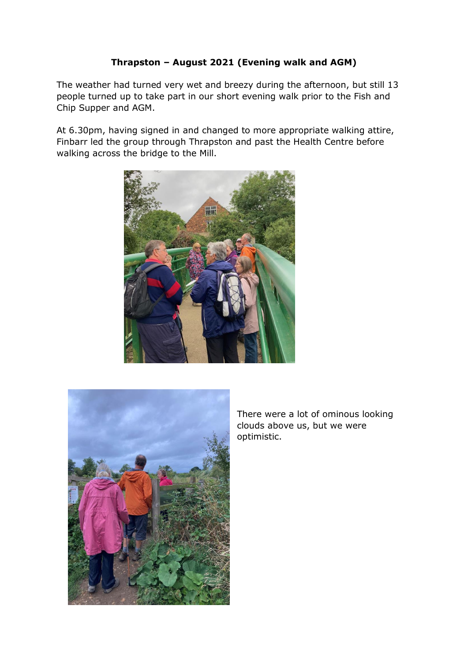## **Thrapston – August 2021 (Evening walk and AGM)**

The weather had turned very wet and breezy during the afternoon, but still 13 people turned up to take part in our short evening walk prior to the Fish and Chip Supper and AGM.

At 6.30pm, having signed in and changed to more appropriate walking attire, Finbarr led the group through Thrapston and past the Health Centre before walking across the bridge to the Mill.





There were a lot of ominous looking clouds above us, but we were optimistic.